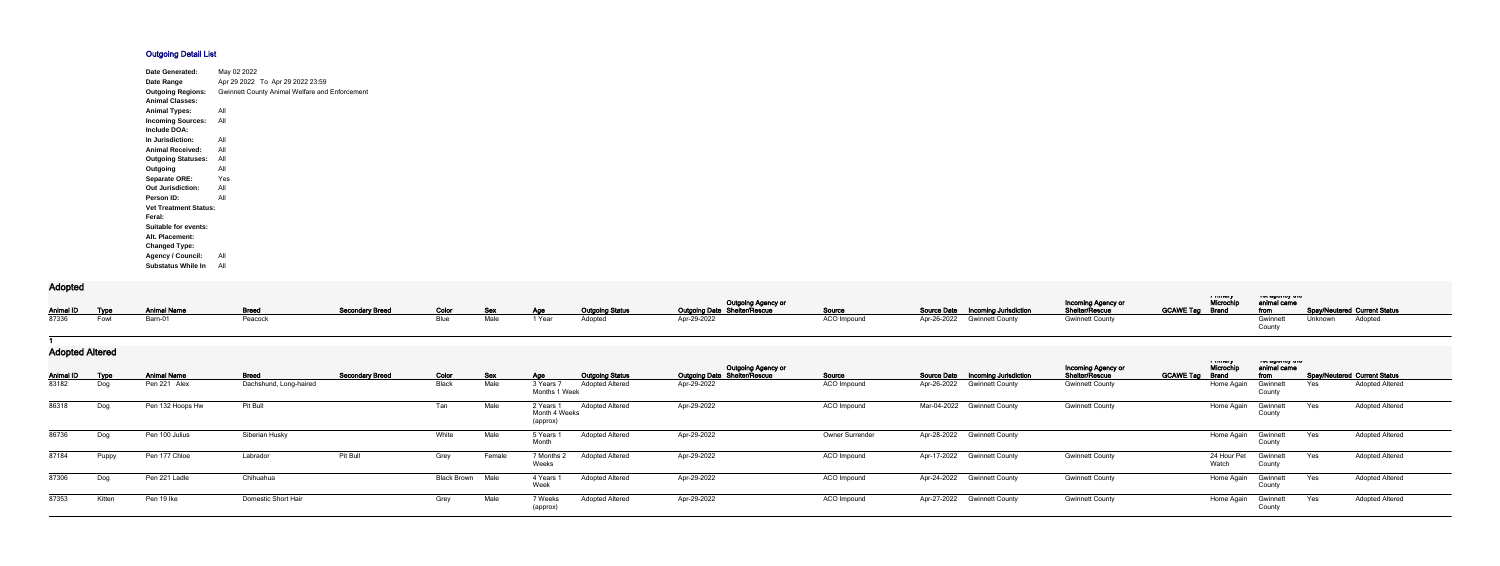## **Outgoing Detail List**

| Date Generated:              | May 02 2022                                           |
|------------------------------|-------------------------------------------------------|
| Date Range                   | Apr 29 2022 To Apr 29 2022 23:59                      |
| <b>Outgoing Regions:</b>     | <b>Gwinnett County Animal Welfare and Enforcement</b> |
| <b>Animal Classes:</b>       |                                                       |
| <b>Animal Types:</b>         | All                                                   |
| <b>Incoming Sources:</b>     | All                                                   |
| Include DOA:                 |                                                       |
| In Jurisdiction:             | All                                                   |
| <b>Animal Received:</b>      | All                                                   |
| <b>Outgoing Statuses:</b>    | All                                                   |
| Outgoing                     | All                                                   |
| <b>Separate ORE:</b>         | Yes                                                   |
| <b>Out Jurisdiction:</b>     | All                                                   |
| Person ID:                   | All                                                   |
| <b>Vet Treatment Status:</b> |                                                       |
| Feral:                       |                                                       |
| Suitable for events:         |                                                       |
| Alt. Placement:              |                                                       |
| <b>Changed Type:</b>         |                                                       |
| <b>Agency / Council:</b>     | All                                                   |
| <b>Substatus While In</b>    | All                                                   |

## **Adopted**

| nuupiuu |                          |                                  |         |                               |           |  |        |                        |                                                    |             |                                          |                                      |                     |                                            |                                                   |
|---------|--------------------------|----------------------------------|---------|-------------------------------|-----------|--|--------|------------------------|----------------------------------------------------|-------------|------------------------------------------|--------------------------------------|---------------------|--------------------------------------------|---------------------------------------------------|
|         |                          |                                  |         |                               |           |  |        |                        |                                                    |             |                                          | Incoming Agency or<br>Shelter/Rescue | i muuj<br>Microchip | ו טג טאַטווען גווע<br><b>Examinal came</b> |                                                   |
|         |                          | Animal ID Type Animal Name Breed |         | Secondary Breed Color Sex Age |           |  |        | <b>Outgoing Status</b> | Outgoing Agency or<br>Outgoing Date Shelter/Rescue | Source      | <b>Source Date Incoming Jurisdiction</b> |                                      |                     |                                            | GCAWE Tag Brand from Spay/Neutered Current Status |
|         | 87336    Fowl    Barn-01 |                                  | Peacock |                               | Blue Male |  | 1 Year | Adopted                | Apr-29-2022                                        | ACO Impound | Apr-26-2022 Gwinnett County              | <b>Gwinnett County</b>               |                     | Gwinnett                                   | Unknown Adopted                                   |
|         |                          |                                  |         |                               |           |  |        |                        |                                                    |             |                                          |                                      |                     |                                            |                                                   |

**1**

## **Adopted Altered**

| $1.89$ programs and $9.7$ |             |                    |                        |                        |                         |        |                                        |                        |                                                                  |                    |                                       |                                             |                  |                                     |                                          |     |                              |
|---------------------------|-------------|--------------------|------------------------|------------------------|-------------------------|--------|----------------------------------------|------------------------|------------------------------------------------------------------|--------------------|---------------------------------------|---------------------------------------------|------------------|-------------------------------------|------------------------------------------|-----|------------------------------|
| <b>Animal ID</b>          | <b>Type</b> | <b>Animal Name</b> | <b>Breed</b>           | <b>Secondary Breed</b> | Color                   | Sex    | <u>Age</u>                             | <b>Outgoing Status</b> | <b>Outgoing Agency or</b><br><b>Outgoing Date Shelter/Rescue</b> | Source             | Source Date  Incoming Jurisdiction    | Incoming Agency or<br><b>Shelter/Rescue</b> | <b>GCAWE Tag</b> | a music<br>Microchi<br><b>Brand</b> | ו סו טשטווטץ עונט<br>animal came<br>from |     | Spay/Neutered Current Status |
| 83182                     | Dog         | Pen 221 Alex       | Dachshund, Long-haired |                        | Black                   | Male   | 3 Years 7<br>Months 1 Week             | <b>Adopted Altered</b> | Apr-29-2022                                                      | ACO Impound        | Apr-26-2022<br><b>Gwinnett County</b> | <b>Gwinnett County</b>                      |                  | Home Again                          | Gwinnett<br>County                       | Yes | <b>Adopted Altered</b>       |
| 86318                     | Dog         | Pen 132 Hoops Hw   | Pit Bull               |                        | Tan                     | Male   | 2 Years 1<br>Month 4 Weeks<br>(approx) | <b>Adopted Altered</b> | Apr-29-2022                                                      | ACO Impound        | Mar-04-2022 Gwinnett County           | <b>Gwinnett County</b>                      |                  | Home Again                          | Gwinnett<br>County                       | Yes | <b>Adopted Altered</b>       |
| 86736                     | Dog         | Pen 100 Julius     | Siberian Husky         |                        | White                   | Male   | 5 Years<br>Month                       | <b>Adopted Altered</b> | Apr-29-2022                                                      | Owner Surrender    | Apr-28-2022 Gwinnett County           |                                             |                  | Home Again                          | Gwinnett<br>County                       | Yes | <b>Adopted Altered</b>       |
| 87184                     | Puppy       | Pen 177 Chloe      | Labrador               | Pit Bull               | Grey                    | Female | 7 Months 2<br>Weeks                    | <b>Adopted Altered</b> | Apr-29-2022                                                      | <b>ACO Impound</b> | Apr-17-2022<br><b>Gwinnett County</b> | <b>Gwinnett County</b>                      |                  | 24 Hour Pet<br>Watch                | Gwinnett<br>County                       | Yes | Adopted Altered              |
| 87306                     | Dog         | Pen 221 Ladle      | Chihuahua              |                        | <b>Black Brown Male</b> |        | 4 Years<br>Week                        | <b>Adopted Altered</b> | Apr-29-2022                                                      | <b>ACO</b> Impound | Apr-24-2022 Gwinnett County           | <b>Gwinnett County</b>                      |                  | Home Again                          | Gwinnett<br>County                       | Yes | <b>Adopted Altered</b>       |
| 87353                     | Kitten      | Pen 19 lke         | Domestic Short Hair    |                        | Grey                    | Male   | 7 Weeks<br>(approx)                    | <b>Adopted Altered</b> | Apr-29-2022                                                      | ACO Impound        | Apr-27-2022 Gwinnett County           | <b>Gwinnett County</b>                      |                  | Home Again                          | Gwinnett<br>County                       | Yes | <b>Adopted Altered</b>       |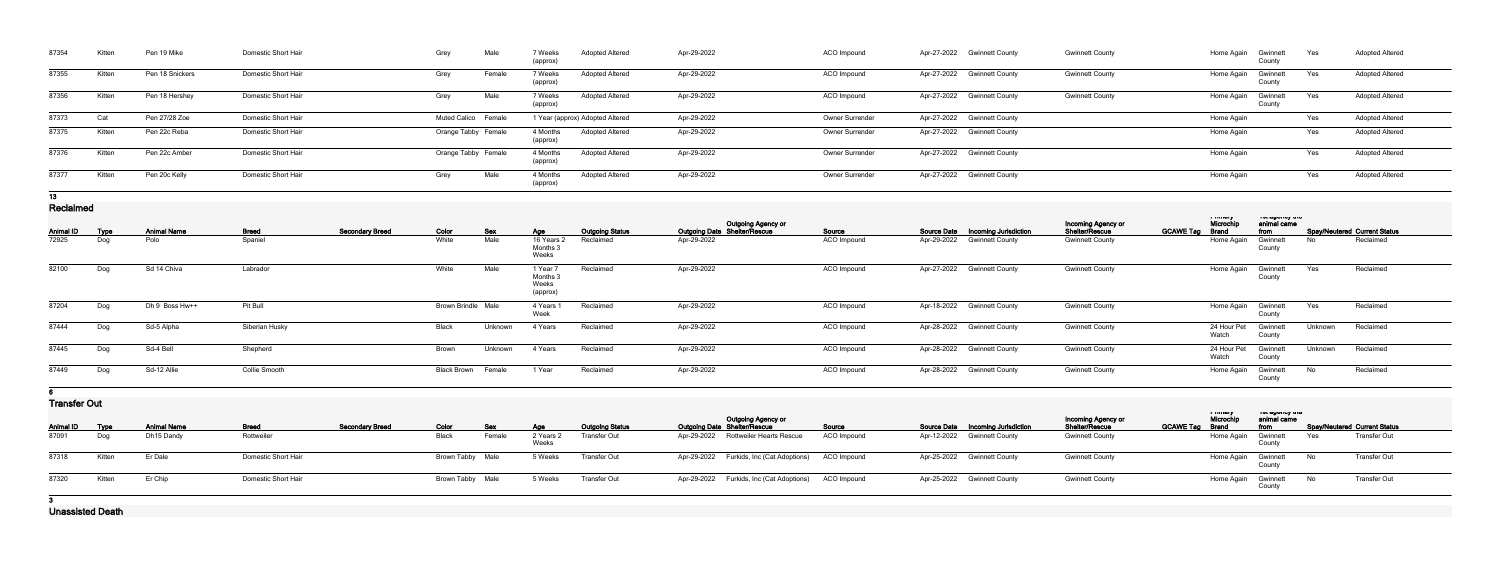| 87354                     | Kitten             | Pen 19 Mike                      | Domestic Short Hair        |                        | Grey                      | Male                 | 7 Weeks<br>(approx)                       | <b>Adopted Altered</b>                        | Apr-29-2022 |                                                    | <b>ACO</b> Impound     | Apr-27-2022 Gwinnett County                                       | <b>Gwinnett County</b>               |                        | Home Again                    | Gwinnett<br>County              | Yes     | <b>Adopted Altered</b>                              |
|---------------------------|--------------------|----------------------------------|----------------------------|------------------------|---------------------------|----------------------|-------------------------------------------|-----------------------------------------------|-------------|----------------------------------------------------|------------------------|-------------------------------------------------------------------|--------------------------------------|------------------------|-------------------------------|---------------------------------|---------|-----------------------------------------------------|
| 87355                     | Kitten             | Pen 18 Snickers                  | Domestic Short Hair        |                        | Grey                      | Female               | 7 Weeks<br>(approx)                       | <b>Adopted Altered</b>                        | Apr-29-2022 |                                                    | ACO Impound            | Apr-27-2022 Gwinnett County                                       | <b>Gwinnett County</b>               |                        | Home Again                    | Gwinnett<br>County              | Yes     | <b>Adopted Altered</b>                              |
| 87356                     | Kitten             | Pen 18 Hershey                   | Domestic Short Hair        |                        | Grey                      | Male                 | 7 Weeks<br>(approx)                       | <b>Adopted Altered</b>                        | Apr-29-2022 |                                                    | ACO Impound            | Apr-27-2022 Gwinnett County                                       | <b>Gwinnett County</b>               |                        | Home Again                    | Gwinnett<br>County              | Yes     | <b>Adopted Altered</b>                              |
| 87373                     | Cat                | Pen 27/28 Zoe                    | Domestic Short Hair        |                        | Muted Calico Female       |                      |                                           | 1 Year (approx) Adopted Altered               | Apr-29-2022 |                                                    | <b>Owner Surrender</b> | Apr-27-2022 Gwinnett County                                       |                                      |                        | Home Again                    |                                 | Yes     | <b>Adopted Altered</b>                              |
| 87375                     | Kitten             | Pen 22c Reba                     | Domestic Short Hair        |                        | Orange Tabby Female       |                      | 4 Months<br>(approx)                      | <b>Adopted Altered</b>                        | Apr-29-2022 |                                                    | Owner Surrender        | Apr-27-2022 Gwinnett County                                       |                                      |                        | Home Again                    |                                 | Yes     | <b>Adopted Altered</b>                              |
| 87376                     | Kitten             | Pen 22c Amber                    | Domestic Short Hair        |                        | Orange Tabby Female       |                      | 4 Months<br>(approx)                      | <b>Adopted Altered</b>                        | Apr-29-2022 |                                                    | Owner Surrender        | Apr-27-2022 Gwinnett County                                       |                                      |                        | Home Again                    |                                 | Yes     | <b>Adopted Altered</b>                              |
| 87377                     | Kitten             | Pen 20c Kelly                    | Domestic Short Hair        |                        | Grey                      | Male                 | 4 Months<br>(approx)                      | <b>Adopted Altered</b>                        | Apr-29-2022 |                                                    | Owner Surrender        | Apr-27-2022 Gwinnett County                                       |                                      |                        | Home Again                    |                                 | Yes     | <b>Adopted Altered</b>                              |
| 13                        |                    |                                  |                            |                        |                           |                      |                                           |                                               |             |                                                    |                        |                                                                   |                                      |                        |                               |                                 |         |                                                     |
| Reclaimed                 |                    |                                  |                            |                        |                           |                      |                                           |                                               |             | Outgoing Agency or<br>Outgoing Date Shelter/Rescue |                        |                                                                   | Incoming Agency or<br>Shelter/Rescue |                        | a music<br>Microchip          | ושג טאַוועץ גווע<br>animal came |         |                                                     |
| <b>Animal ID</b>          | <b>Type</b>        | <b>Animal Name</b>               | <b>Breed</b>               | <b>Secondary Breed</b> | <b>Color</b>              | <u>Sex</u>           | <u>Age</u>                                | <b>Outgoing Status</b>                        |             |                                                    | Source                 | Source Date Incoming Jurisdiction                                 |                                      | <b>GCAWE Tag Brand</b> |                               | from                            |         | <b>Spay/Neutered Current Status</b>                 |
| 72925                     | Dog                | Polo                             | Spaniel                    |                        | White                     | Male                 | 16 Years 2<br>Months 3<br>Weeks           | Reclaimed                                     | Apr-29-2022 |                                                    | ACO Impound            | Apr-29-2022 Gwinnett County                                       | <b>Gwinnett County</b>               |                        | Home Again                    | Gwinnett<br>County              | No      | Reclaimed                                           |
| 82100                     | Dog                | Sd 14 Chiva                      | Labrador                   |                        | White                     | Male                 | 1 Year 7<br>Months 3<br>Weeks<br>(approx) | Reclaimed                                     | Apr-29-2022 |                                                    | ACO Impound            | Apr-27-2022 Gwinnett County                                       | <b>Gwinnett County</b>               |                        | Home Again                    | Gwinnett<br>County              | Yes     | Reclaimed                                           |
| 87204                     | Dog                | Dh 9 Boss Hw++                   | Pit Bull                   |                        | <b>Brown Brindle Male</b> |                      | 4 Years 1<br>Week                         | Reclaimed                                     | Apr-29-2022 |                                                    | ACO Impound            | Apr-18-2022 Gwinnett County                                       | <b>Gwinnett County</b>               |                        | Home Again                    | Gwinnett<br>County              | Yes     | Reclaimed                                           |
| 87444                     | Dog                | Sd-5 Alpha                       | Siberian Husky             |                        | Black                     | Unknown              | 4 Years                                   | Reclaimed                                     | Apr-29-2022 |                                                    | ACO Impound            | Apr-28-2022 Gwinnett County                                       | <b>Gwinnett County</b>               |                        | 24 Hour Pet<br>Watch          | Gwinnet<br>County               | Unknown | Reclaimed                                           |
| 87445                     | Dog                | Sd-4 Bell                        | Shepherd                   |                        | Brown                     | Unknown              | 4 Years                                   | Reclaimed                                     | Apr-29-2022 |                                                    | ACO Impound            | Apr-28-2022 Gwinnett County                                       | <b>Gwinnett County</b>               |                        | 24 Hour Pet Gwinnett<br>Watch | County                          | Unknown | Reclaimed                                           |
| 87449                     | Dog                | Sd-12 Allie                      | <b>Collie Smooth</b>       |                        | <b>Black Brown</b>        | Female               | 1 Year                                    | Reclaimed                                     | Apr-29-2022 |                                                    | ACO Impound            | Apr-28-2022 Gwinnett County                                       | <b>Gwinnett County</b>               |                        | Home Again                    | Gwinnett<br>County              | No      | Reclaimed                                           |
|                           |                    |                                  |                            |                        |                           |                      |                                           |                                               |             |                                                    |                        |                                                                   |                                      |                        |                               |                                 |         |                                                     |
| <b>Transfer Out</b>       |                    |                                  |                            |                        |                           |                      |                                           |                                               |             |                                                    |                        |                                                                   |                                      |                        | a music                       |                                 |         |                                                     |
|                           |                    |                                  |                            |                        |                           |                      |                                           |                                               |             | Outgoing Agency or<br>Outgoing Date Shelter/Rescue |                        |                                                                   | Incoming Agency or<br>Shelter/Rescue |                        | Microchip                     | animal came                     |         |                                                     |
| <b>Animal ID</b><br>87091 | <b>Type</b><br>Dog | <b>Animal Name</b><br>Dh15 Dandy | <b>Breed</b><br>Rottweiler | <b>Secondary Breed</b> | Color<br>Black            | <b>Sex</b><br>Female | <u>Age</u><br>2 Years 2                   | <b>Outgoing Status</b><br><b>Transfer Out</b> |             | Apr-29-2022 Rottweiler Hearts Rescue               | Source<br>ACO Impound  | Source Date  Incoming Jurisdiction<br>Apr-12-2022 Gwinnett County | <b>Gwinnett County</b>               | <b>GCAWE Tag Brand</b> | Home Again                    | from<br>Gwinnett                | Yes     | <b>Spay/Neutered Current Status</b><br>Transfer Out |
|                           |                    |                                  |                            |                        |                           |                      | Weeks                                     |                                               |             |                                                    |                        |                                                                   |                                      |                        |                               | County                          |         |                                                     |
| 87318                     | Kitten             | Er Dale                          | Domestic Short Hair        |                        | Brown Tabby Male          |                      | 5 Weeks                                   | <b>Transfer Out</b>                           |             | Apr-29-2022 Furkids, Inc (Cat Adoptions)           | ACO Impound            | Apr-25-2022 Gwinnett County                                       | <b>Gwinnett County</b>               |                        | Home Again                    | Gwinnett<br>County              | No      | Transfer Out                                        |
| 87320                     | Kitten             | Er Chip                          | Domestic Short Hair        |                        | <b>Brown Tabby Male</b>   |                      | 5 Weeks                                   | <b>Transfer Out</b>                           |             | Apr-29-2022 Furkids, Inc (Cat Adoptions)           | ACO Impound            | Apr-25-2022 Gwinnett County                                       | <b>Gwinnett County</b>               |                        | Home Again                    | Gwinnett<br>County              | No      | <b>Transfer Out</b>                                 |
|                           |                    |                                  |                            |                        |                           |                      |                                           |                                               |             |                                                    |                        |                                                                   |                                      |                        |                               |                                 |         |                                                     |
| <b>Llangelated Death</b>  |                    |                                  |                            |                        |                           |                      |                                           |                                               |             |                                                    |                        |                                                                   |                                      |                        |                               |                                 |         |                                                     |

**Unassisted Death**